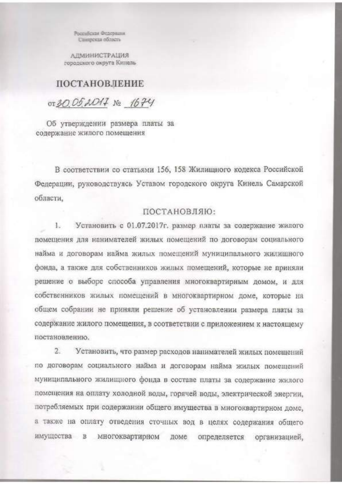Россибская Федерация Самирская область

АДМИНИСТРАЦИЯ городского округа Кинель

## **ПОСТАНОВЛЕНИЕ**

OT 30.052017 No 1674

Об утверждении размера платы за содержание жилого помещения

В соответствии со статьями 156, 158 Жилищного кодекса Российской Федерации, руководствуясь Уставом городского округа Кинель Самарской области.

## ПОСТАНОВЛЯЮ:

 $1 -$ Установить с 01.07.2017г. размер платы за содержание жилого помещения для нанимателей жилых помещений по договорам социального найма и договорам найма жилых помещений муниципального жилищного фонда, а также для собственников жилых помещений, которые не приняли решение о выборе способа управления многоквартирным домом, и для собственников жилых помещений в многоквартирном доме, которые на общем собрании не приняли решение об установлении размера платы за содержание жилого помещения, в соответствии с приложением к настоящему постановлению.

 $2.$ Установить, что размер расходов нанимателей жилых помещений по договорам социального найма и договорам найма жилых помещений муниципального жилищного фонда в составе платы за содержание жилого помещения на оплату холодной воды, горячей воды, электрической энергии, потребляемых при содержании общего имущества в многоквартирном доме. а также на оплату отведения сточных вод в целях содержания общего имущества в многоквартирном доме определяется организацией,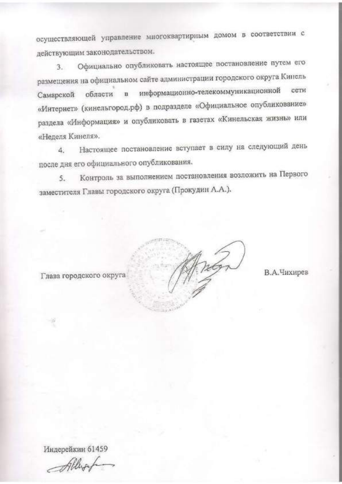осуществляющей управление многоквартирным домом в соответствии с действующим законодательством.

Официально опубликовать настоящее постановление путем его  $3.$ размещения на официальном сайте администрации городского округа Кинель Самарской области в информационно-телекоммуникационной сети «Интернет» (кинельгород.рф) в подразделе «Официальное опубликование» раздела «Информация» и опубликовать в газетах «Кинельская жизнь» или «Неделя Кинеля».

Настоящее постановление вступает в силу на следующий день  $\Delta$ после дня его официального опубликования.

Контроль за выполнением постановления возложить на Первого  $5.$ заместителя Главы городского округа (Прокудин А.А.).

Глава городского округа

В.А.Чихирев

Индерейкин 61459

Allyof